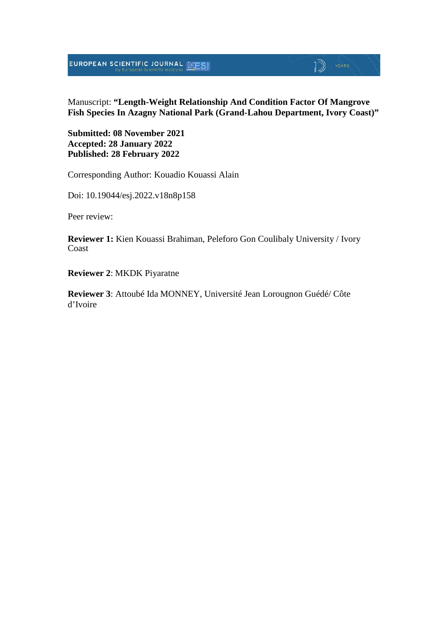**EUROPEAN SCIENTIFIC JOURNAL SESI** 

# **D** YEARS

#### Manuscript: **"Length-Weight Relationship And Condition Factor Of Mangrove Fish Species In Azagny National Park (Grand-Lahou Department, Ivory Coast)"**

**Submitted: 08 November 2021 Accepted: 28 January 2022 Published: 28 February 2022**

Corresponding Author: Kouadio Kouassi Alain

Doi: 10.19044/esj.2022.v18n8p158

Peer review:

**Reviewer 1:** Kien Kouassi Brahiman, Peleforo Gon Coulibaly University / Ivory Coast

**Reviewer 2**: MKDK Piyaratne

**Reviewer 3**: Attoubé Ida MONNEY, Université Jean Lorougnon Guédé/ Côte d'Ivoire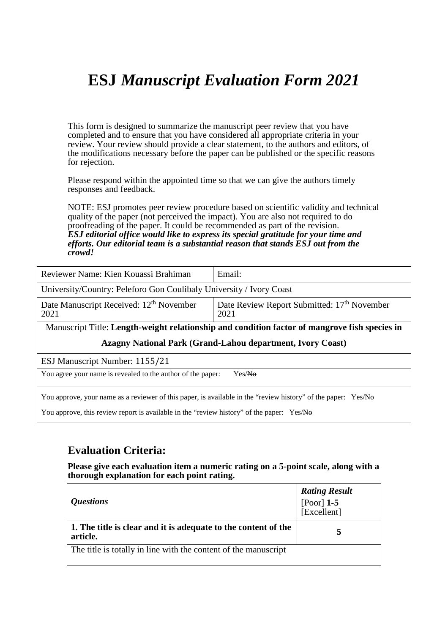# **ESJ** *Manuscript Evaluation Form 2021*

This form is designed to summarize the manuscript peer review that you have completed and to ensure that you have considered all appropriate criteria in your review. Your review should provide a clear statement, to the authors and editors, of the modifications necessary before the paper can be published or the specific reasons for rejection.

Please respond within the appointed time so that we can give the authors timely responses and feedback.

NOTE: ESJ promotes peer review procedure based on scientific validity and technical quality of the paper (not perceived the impact). You are also not required to do proofreading of the paper. It could be recommended as part of the revision. *ESJ editorial office would like to express its special gratitude for your time and efforts. Our editorial team is a substantial reason that stands ESJ out from the crowd!* 

| Reviewer Name: Kien Kouassi Brahiman                                                          | Email:                                                          |  |
|-----------------------------------------------------------------------------------------------|-----------------------------------------------------------------|--|
| University/Country: Peleforo Gon Coulibaly University / Ivory Coast                           |                                                                 |  |
| Date Manuscript Received: 12 <sup>th</sup> November<br>2021                                   | Date Review Report Submitted: 17 <sup>th</sup> November<br>2021 |  |
| Manuscript Title: Length-weight relationship and condition factor of mangrove fish species in |                                                                 |  |

#### **Azagny National Park (Grand-Lahou department, Ivory Coast)**

ESJ Manuscript Number: 1155/21

You agree your name is revealed to the author of the paper: Yes/No

You approve, your name as a reviewer of this paper, is available in the "review history" of the paper: Yes/No

You approve, this review report is available in the "review history" of the paper: Yes/No

### **Evaluation Criteria:**

**Please give each evaluation item a numeric rating on a 5-point scale, along with a thorough explanation for each point rating.**

| <i><b>Questions</b></i>                                                    | <b>Rating Result</b><br>[Poor] $1-5$<br>[Excellent] |
|----------------------------------------------------------------------------|-----------------------------------------------------|
| 1. The title is clear and it is adequate to the content of the<br>article. |                                                     |
| The title is totally in line with the content of the manuscript            |                                                     |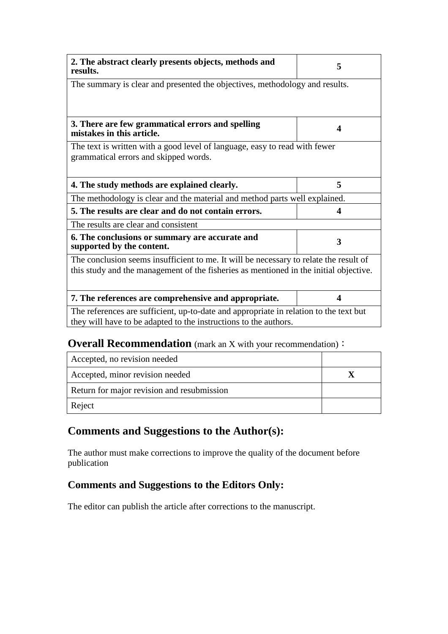| 2. The abstract clearly presents objects, methods and<br>results.                                                                                         | 5 |  |
|-----------------------------------------------------------------------------------------------------------------------------------------------------------|---|--|
| The summary is clear and presented the objectives, methodology and results.                                                                               |   |  |
|                                                                                                                                                           |   |  |
| 3. There are few grammatical errors and spelling<br>mistakes in this article.                                                                             | 4 |  |
| The text is written with a good level of language, easy to read with fewer<br>grammatical errors and skipped words.                                       |   |  |
| 4. The study methods are explained clearly.                                                                                                               | 5 |  |
|                                                                                                                                                           |   |  |
| The methodology is clear and the material and method parts well explained.                                                                                |   |  |
| 5. The results are clear and do not contain errors.                                                                                                       | 4 |  |
| The results are clear and consistent                                                                                                                      |   |  |
| 6. The conclusions or summary are accurate and<br>supported by the content.                                                                               | 3 |  |
| The conclusion seems insufficient to me. It will be necessary to relate the result of                                                                     |   |  |
| this study and the management of the fisheries as mentioned in the initial objective.                                                                     |   |  |
|                                                                                                                                                           |   |  |
| 7. The references are comprehensive and appropriate.                                                                                                      | 4 |  |
| The references are sufficient, up-to-date and appropriate in relation to the text but<br>they will have to be adapted to the instructions to the authors. |   |  |

### **Overall Recommendation** (mark an X with your recommendation):

| Accepted, no revision needed               |  |
|--------------------------------------------|--|
| Accepted, minor revision needed            |  |
| Return for major revision and resubmission |  |
| Reject                                     |  |

## **Comments and Suggestions to the Author(s):**

The author must make corrections to improve the quality of the document before publication

### **Comments and Suggestions to the Editors Only:**

The editor can publish the article after corrections to the manuscript.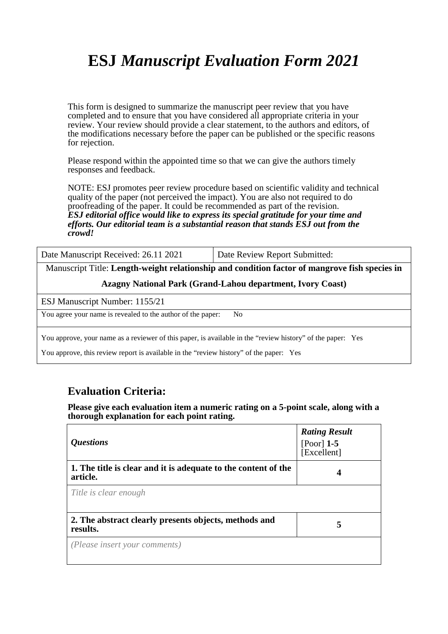# **ESJ** *Manuscript Evaluation Form 2021*

This form is designed to summarize the manuscript peer review that you have completed and to ensure that you have considered all appropriate criteria in your review. Your review should provide a clear statement, to the authors and editors, of the modifications necessary before the paper can be published or the specific reasons for rejection.

Please respond within the appointed time so that we can give the authors timely responses and feedback.

NOTE: ESJ promotes peer review procedure based on scientific validity and technical quality of the paper (not perceived the impact). You are also not required to do proofreading of the paper. It could be recommended as part of the revision. *ESJ editorial office would like to express its special gratitude for your time and efforts. Our editorial team is a substantial reason that stands ESJ out from the crowd!* 

Date Manuscript Received: 26.11 2021 Date Review Report Submitted:

Manuscript Title: **Length-weight relationship and condition factor of mangrove fish species in** 

**Azagny National Park (Grand-Lahou department, Ivory Coast)**

ESJ Manuscript Number: 1155/21

You agree your name is revealed to the author of the paper: No

You approve, your name as a reviewer of this paper, is available in the "review history" of the paper: Yes

You approve, this review report is available in the "review history" of the paper: Yes

### **Evaluation Criteria:**

**Please give each evaluation item a numeric rating on a 5-point scale, along with a thorough explanation for each point rating.**

| <i><b>Questions</b></i>                                                    | <b>Rating Result</b><br>[Poor] $1-5$<br>[Excellent] |
|----------------------------------------------------------------------------|-----------------------------------------------------|
| 1. The title is clear and it is adequate to the content of the<br>article. |                                                     |
| Title is clear enough                                                      |                                                     |
| 2. The abstract clearly presents objects, methods and<br>results.          | 5                                                   |
| (Please insert your comments)                                              |                                                     |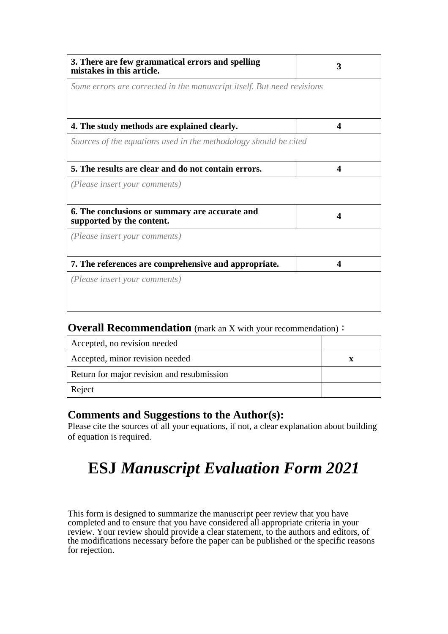| 3. There are few grammatical errors and spelling<br>mistakes in this article. | 3                |
|-------------------------------------------------------------------------------|------------------|
| Some errors are corrected in the manuscript itself. But need revisions        |                  |
|                                                                               |                  |
| 4. The study methods are explained clearly.                                   | $\boldsymbol{4}$ |
| Sources of the equations used in the methodology should be cited              |                  |
| 5. The results are clear and do not contain errors.                           | 4                |
| (Please insert your comments)                                                 |                  |
|                                                                               |                  |
| 6. The conclusions or summary are accurate and<br>supported by the content.   |                  |
| (Please insert your comments)                                                 |                  |
| 7. The references are comprehensive and appropriate.                          | 4                |
| (Please insert your comments)                                                 |                  |
|                                                                               |                  |
|                                                                               |                  |

**Overall Recommendation** (mark an X with your recommendation):

| Accepted, no revision needed               |  |
|--------------------------------------------|--|
| Accepted, minor revision needed            |  |
| Return for major revision and resubmission |  |
| Reject                                     |  |

### **Comments and Suggestions to the Author(s):**

Please cite the sources of all your equations, if not, a clear explanation about building of equation is required.

# **ESJ** *Manuscript Evaluation Form 2021*

This form is designed to summarize the manuscript peer review that you have completed and to ensure that you have considered all appropriate criteria in your review. Your review should provide a clear statement, to the authors and editors, of the modifications necessary before the paper can be published or the specific reasons for rejection.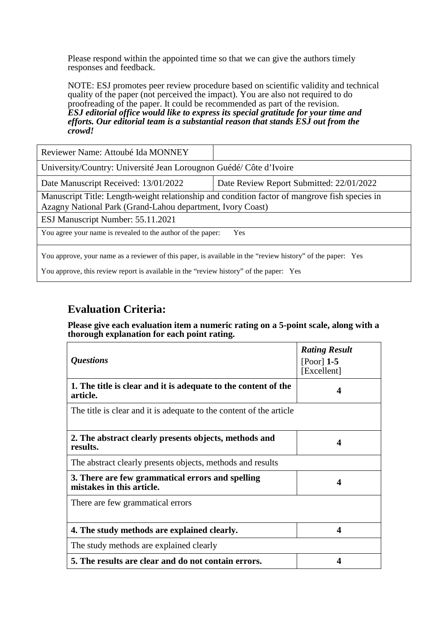Please respond within the appointed time so that we can give the authors timely responses and feedback.

NOTE: ESJ promotes peer review procedure based on scientific validity and technical quality of the paper (not perceived the impact). You are also not required to do proofreading of the paper. It could be recommended as part of the revision. *ESJ editorial office would like to express its special gratitude for your time and efforts. Our editorial team is a substantial reason that stands ESJ out from the crowd!* 

| Reviewer Name: Attoubé Ida MONNEY                                                                                                                           |                                          |  |
|-------------------------------------------------------------------------------------------------------------------------------------------------------------|------------------------------------------|--|
| University/Country: Université Jean Lorougnon Guédé/ Côte d'Ivoire                                                                                          |                                          |  |
| Date Manuscript Received: 13/01/2022                                                                                                                        | Date Review Report Submitted: 22/01/2022 |  |
| Manuscript Title: Length-weight relationship and condition factor of mangrove fish species in<br>Azagny National Park (Grand-Lahou department, Ivory Coast) |                                          |  |
| ESJ Manuscript Number: 55.11.2021                                                                                                                           |                                          |  |
| You agree your name is revealed to the author of the paper:<br><b>Yes</b>                                                                                   |                                          |  |
| You approve, your name as a reviewer of this paper, is available in the "review history" of the paper: Yes                                                  |                                          |  |

You approve, this review report is available in the "review history" of the paper: Yes

## **Evaluation Criteria:**

#### **Please give each evaluation item a numeric rating on a 5-point scale, along with a thorough explanation for each point rating.**

| <i><b>Questions</b></i>                                                       | <b>Rating Result</b><br>$[$ Poor $]$ 1-5<br>[Excellent] |
|-------------------------------------------------------------------------------|---------------------------------------------------------|
| 1. The title is clear and it is adequate to the content of the<br>article.    | 4                                                       |
| The title is clear and it is adequate to the content of the article           |                                                         |
| 2. The abstract clearly presents objects, methods and<br>results.             | 4                                                       |
| The abstract clearly presents objects, methods and results                    |                                                         |
| 3. There are few grammatical errors and spelling<br>mistakes in this article. | 4                                                       |
| There are few grammatical errors                                              |                                                         |
| 4. The study methods are explained clearly.                                   | 4                                                       |
| The study methods are explained clearly                                       |                                                         |
| 5. The results are clear and do not contain errors.                           | 4                                                       |